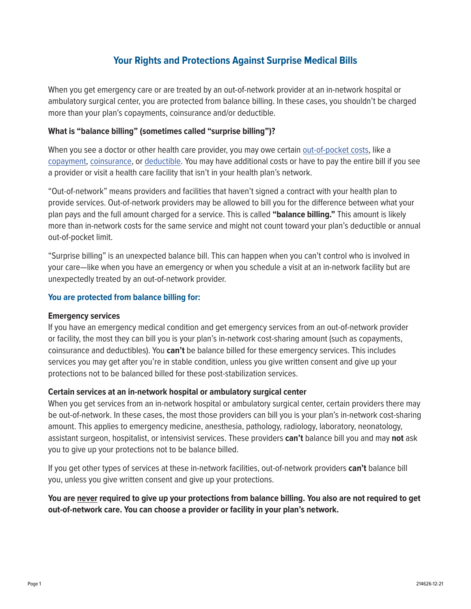# **Your Rights and Protections Against Surprise Medical Bills**

When you get emergency care or are treated by an out-of-network provider at an in-network hospital or ambulatory surgical center, you are protected from balance billing. In these cases, you shouldn't be charged more than your plan's copayments, coinsurance and/or deductible.

# **What is "balance billing" (sometimes called "surprise billing")?**

When you see a doctor or other health care provider, you may owe certain [out-of-pocket costs](https://www.healthcare.gov/glossary/out-of-pocket-costs/), like a [copayment,](https://www.healthcare.gov/glossary/co-payment/) [coinsurance](https://www.healthcare.gov/glossary/co-insurance/), or [deductible](https://www.healthcare.gov/glossary/deductible/). You may have additional costs or have to pay the entire bill if you see a provider or visit a health care facility that isn't in your health plan's network.

"Out-of-network" means providers and facilities that haven't signed a contract with your health plan to provide services. Out-of-network providers may be allowed to bill you for the difference between what your plan pays and the full amount charged for a service. This is called **"balance billing."** This amount is likely more than in-network costs for the same service and might not count toward your plan's deductible or annual out-of-pocket limit.

"Surprise billing" is an unexpected balance bill. This can happen when you can't control who is involved in your care—like when you have an emergency or when you schedule a visit at an in-network facility but are unexpectedly treated by an out-of-network provider.

# **You are protected from balance billing for:**

#### **Emergency services**

If you have an emergency medical condition and get emergency services from an out-of-network provider or facility, the most they can bill you is your plan's in-network cost-sharing amount (such as copayments, coinsurance and deductibles). You **can't** be balance billed for these emergency services. This includes services you may get after you're in stable condition, unless you give written consent and give up your protections not to be balanced billed for these post-stabilization services.

# **Certain services at an in-network hospital or ambulatory surgical center**

When you get services from an in-network hospital or ambulatory surgical center, certain providers there may be out-of-network. In these cases, the most those providers can bill you is your plan's in-network cost-sharing amount. This applies to emergency medicine, anesthesia, pathology, radiology, laboratory, neonatology, assistant surgeon, hospitalist, or intensivist services. These providers **can't** balance bill you and may **not** ask you to give up your protections not to be balance billed.

If you get other types of services at these in-network facilities, out-of-network providers **can't** balance bill you, unless you give written consent and give up your protections.

**You are never required to give up your protections from balance billing. You also are not required to get out-of-network care. You can choose a provider or facility in your plan's network.**